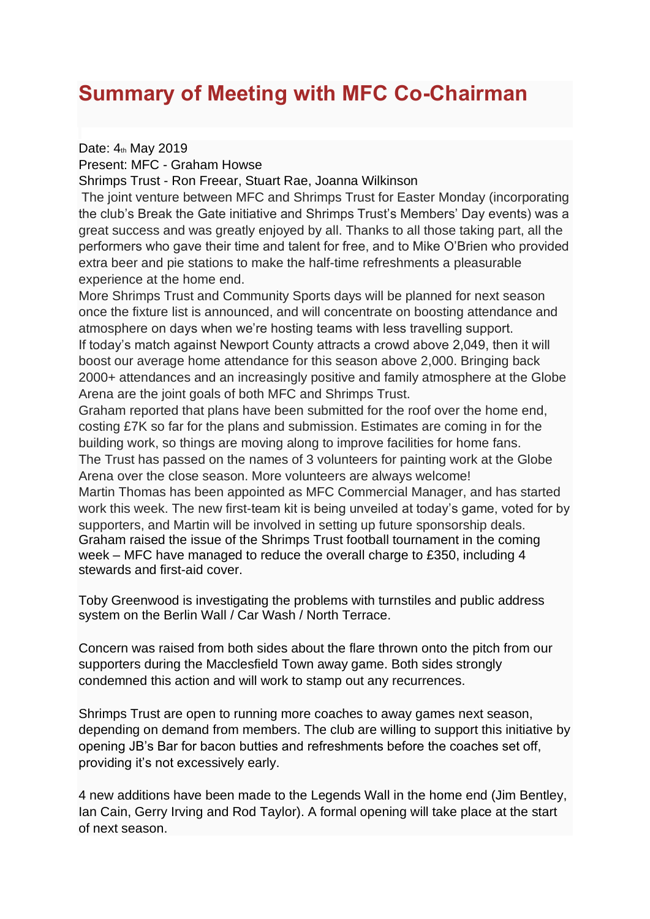## **Summary of Meeting with MFC Co-Chairman**

Date:  $4<sub>th</sub>$  May 2019

Present: MFC - Graham Howse

Shrimps Trust - Ron Freear, Stuart Rae, Joanna Wilkinson

The joint venture between MFC and Shrimps Trust for Easter Monday (incorporating the club's Break the Gate initiative and Shrimps Trust's Members' Day events) was a great success and was greatly enjoyed by all. Thanks to all those taking part, all the performers who gave their time and talent for free, and to Mike O'Brien who provided extra beer and pie stations to make the half-time refreshments a pleasurable experience at the home end.

More Shrimps Trust and Community Sports days will be planned for next season once the fixture list is announced, and will concentrate on boosting attendance and atmosphere on days when we're hosting teams with less travelling support. If today's match against Newport County attracts a crowd above 2,049, then it will boost our average home attendance for this season above 2,000. Bringing back 2000+ attendances and an increasingly positive and family atmosphere at the Globe Arena are the joint goals of both MFC and Shrimps Trust.

Graham reported that plans have been submitted for the roof over the home end, costing £7K so far for the plans and submission. Estimates are coming in for the building work, so things are moving along to improve facilities for home fans. The Trust has passed on the names of 3 volunteers for painting work at the Globe Arena over the close season. More volunteers are always welcome! Martin Thomas has been appointed as MFC Commercial Manager, and has started work this week. The new first-team kit is being unveiled at today's game, voted for by supporters, and Martin will be involved in setting up future sponsorship deals.

Graham raised the issue of the Shrimps Trust football tournament in the coming week – MFC have managed to reduce the overall charge to £350, including 4 stewards and first-aid cover.

Toby Greenwood is investigating the problems with turnstiles and public address system on the Berlin Wall / Car Wash / North Terrace.

Concern was raised from both sides about the flare thrown onto the pitch from our supporters during the Macclesfield Town away game. Both sides strongly condemned this action and will work to stamp out any recurrences.

Shrimps Trust are open to running more coaches to away games next season, depending on demand from members. The club are willing to support this initiative by opening JB's Bar for bacon butties and refreshments before the coaches set off, providing it's not excessively early.

4 new additions have been made to the Legends Wall in the home end (Jim Bentley, Ian Cain, Gerry Irving and Rod Taylor). A formal opening will take place at the start of next season.